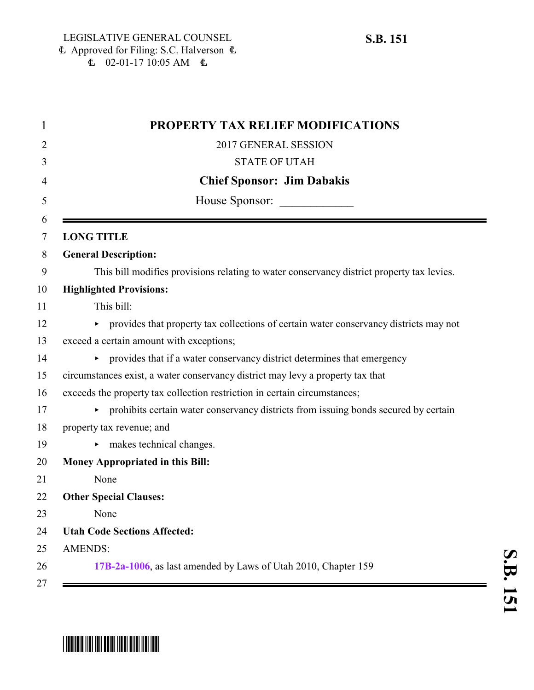| PROPERTY TAX RELIEF MODIFICATIONS                                                         |
|-------------------------------------------------------------------------------------------|
| 2017 GENERAL SESSION                                                                      |
| <b>STATE OF UTAH</b>                                                                      |
| <b>Chief Sponsor: Jim Dabakis</b>                                                         |
| House Sponsor:                                                                            |
| <b>LONG TITLE</b>                                                                         |
| <b>General Description:</b>                                                               |
| This bill modifies provisions relating to water conservancy district property tax levies. |
| <b>Highlighted Provisions:</b>                                                            |
| This bill:                                                                                |
| • provides that property tax collections of certain water conservancy districts may not   |
| exceed a certain amount with exceptions;                                                  |
| • provides that if a water conservancy district determines that emergency                 |
| circumstances exist, a water conservancy district may levy a property tax that            |
| exceeds the property tax collection restriction in certain circumstances;                 |
| prohibits certain water conservancy districts from issuing bonds secured by certain       |
| property tax revenue; and                                                                 |
| $\blacktriangleright$ makes technical changes.                                            |
| Money Appropriated in this Bill:                                                          |
| None                                                                                      |
| <b>Other Special Clauses:</b>                                                             |
| None                                                                                      |
| <b>Utah Code Sections Affected:</b>                                                       |
| <b>AMENDS:</b>                                                                            |
| 17B-2a-1006, as last amended by Laws of Utah 2010, Chapter 159                            |

## \*SB0151\*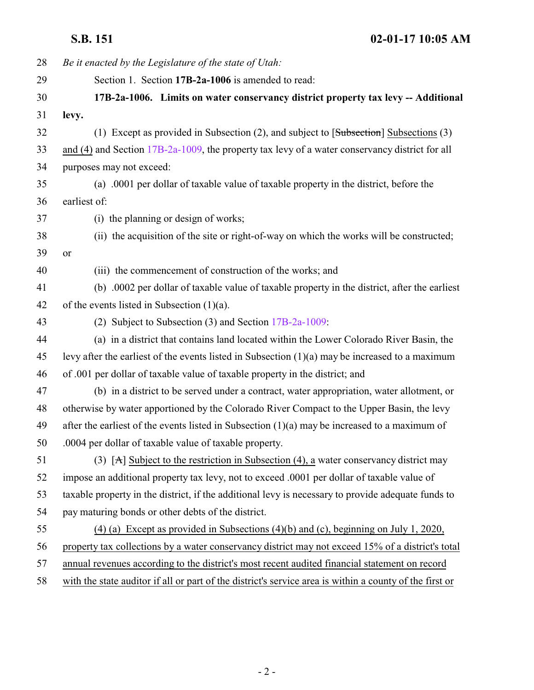<span id="page-1-0"></span>**S.B. 151 02-01-17 10:05 AM**

| 28 | Be it enacted by the Legislature of the state of Utah:                                                  |
|----|---------------------------------------------------------------------------------------------------------|
| 29 | Section 1. Section 17B-2a-1006 is amended to read:                                                      |
| 30 | 17B-2a-1006. Limits on water conservancy district property tax levy -- Additional                       |
| 31 | levy.                                                                                                   |
| 32 | (1) Except as provided in Subsection (2), and subject to $[Subsection]$ Subsections (3)                 |
| 33 | and (4) and Section $17B-2a-1009$ , the property tax levy of a water conservancy district for all       |
| 34 | purposes may not exceed:                                                                                |
| 35 | (a) .0001 per dollar of taxable value of taxable property in the district, before the                   |
| 36 | earliest of:                                                                                            |
| 37 | (i) the planning or design of works;                                                                    |
| 38 | (ii) the acquisition of the site or right-of-way on which the works will be constructed;                |
| 39 | or                                                                                                      |
| 40 | (iii) the commencement of construction of the works; and                                                |
| 41 | (b) .0002 per dollar of taxable value of taxable property in the district, after the earliest           |
| 42 | of the events listed in Subsection $(1)(a)$ .                                                           |
| 43 | (2) Subject to Subsection (3) and Section 17B-2a-1009:                                                  |
| 44 | (a) in a district that contains land located within the Lower Colorado River Basin, the                 |
| 45 | levy after the earliest of the events listed in Subsection $(1)(a)$ may be increased to a maximum       |
| 46 | of .001 per dollar of taxable value of taxable property in the district; and                            |
| 47 | (b) in a district to be served under a contract, water appropriation, water allotment, or               |
| 48 | otherwise by water apportioned by the Colorado River Compact to the Upper Basin, the levy               |
| 49 | after the earliest of the events listed in Subsection $(1)(a)$ may be increased to a maximum of         |
| 50 | .0004 per dollar of taxable value of taxable property.                                                  |
| 51 | (3) [A] Subject to the restriction in Subsection (4), a water conservancy district may                  |
| 52 | impose an additional property tax levy, not to exceed .0001 per dollar of taxable value of              |
| 53 | taxable property in the district, if the additional levy is necessary to provide adequate funds to      |
| 54 | pay maturing bonds or other debts of the district.                                                      |
| 55 | $(4)$ (a) Except as provided in Subsections $(4)(b)$ and $(c)$ , beginning on July 1, 2020,             |
| 56 | property tax collections by a water conservancy district may not exceed 15% of a district's total       |
| 57 | annual revenues according to the district's most recent audited financial statement on record           |
| 58 | with the state auditor if all or part of the district's service area is within a county of the first or |